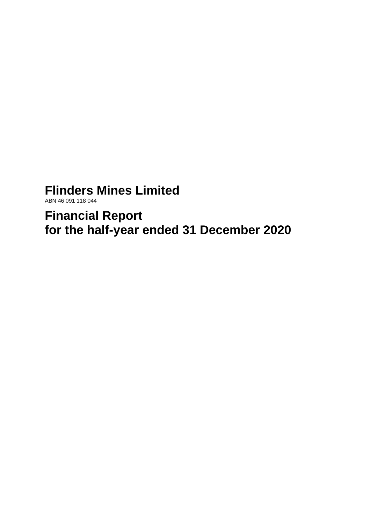# **Flinders Mines Limited**

ABN 46 091 118 044

**Financial Report for the half-year ended 31 December 2020**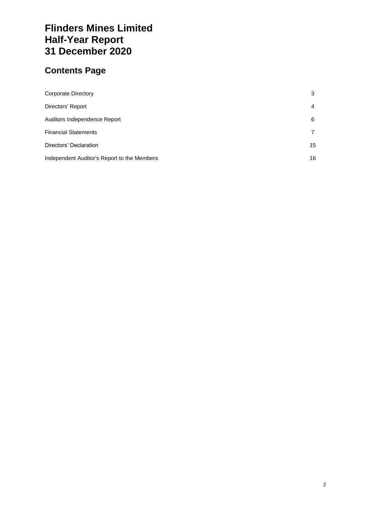# **Flinders Mines Limited Half-Year Report 31 December 2020**

# **Contents Page**

| Corporate Directory                         | 3  |
|---------------------------------------------|----|
| Directors' Report                           | 4  |
| Auditors Independence Report                | 6  |
| <b>Financial Statements</b>                 |    |
| Directors' Declaration                      | 15 |
| Independent Auditor's Report to the Members | 16 |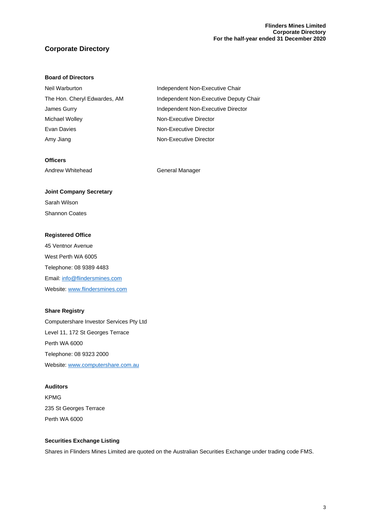#### **Flinders Mines Limited Corporate Directory For the half-year ended 31 December 2020**

## **Corporate Directory**

#### **Board of Directors**

| Independent Non-Executive Chair        |
|----------------------------------------|
| Independent Non-Executive Deputy Chair |
| Independent Non-Executive Director     |
| Non-Executive Director                 |
| Non-Executive Director                 |
| Non-Executive Director                 |
|                                        |

#### **Officers**

Andrew Whitehead General Manager

## **Joint Company Secretary**

Sarah Wilson Shannon Coates

#### **Registered Office**

45 Ventnor Avenue West Perth WA 6005 Telephone: 08 9389 4483 Email: [info@flindersmines.com](mailto:info@flindersmines.com) Website: [www.flindersmines.com](http://www.flindersmines.com/)

#### **Share Registry**

Computershare Investor Services Pty Ltd Level 11, 172 St Georges Terrace Perth WA 6000 Telephone: 08 9323 2000 Website: [www.computershare.com.au](http://www.computershare.com.au/)

#### **Auditors**

KPMG 235 St Georges Terrace Perth WA 6000

#### **Securities Exchange Listing**

Shares in Flinders Mines Limited are quoted on the Australian Securities Exchange under trading code FMS.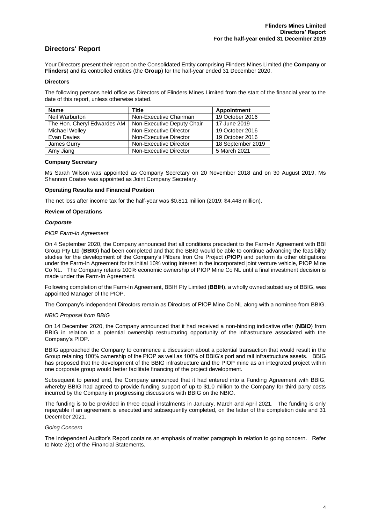### **Directors' Report**

Your Directors present their report on the Consolidated Entity comprising Flinders Mines Limited (the **Company** or **Flinders**) and its controlled entities (the **Group**) for the half-year ended 31 December 2020.

#### **Directors**

The following persons held office as Directors of Flinders Mines Limited from the start of the financial year to the date of this report, unless otherwise stated.

| <b>Name</b>                 | Title                      | <b>Appointment</b> |
|-----------------------------|----------------------------|--------------------|
| Neil Warburton              | Non-Executive Chairman     | 19 October 2016    |
| The Hon. Cheryl Edwardes AM | Non-Executive Deputy Chair | 17 June 2019       |
| <b>Michael Wolley</b>       | Non-Executive Director     | 19 October 2016    |
| Evan Davies                 | Non-Executive Director     | 19 October 2016    |
| James Gurry                 | Non-Executive Director     | 18 September 2019  |
| Amy Jiang                   | Non-Executive Director     | 5 March 2021       |

#### **Company Secretary**

Ms Sarah Wilson was appointed as Company Secretary on 20 November 2018 and on 30 August 2019, Ms Shannon Coates was appointed as Joint Company Secretary.

#### **Operating Results and Financial Position**

The net loss after income tax for the half-year was \$0.811 million (2019: \$4.448 million).

#### **Review of Operations**

#### *Corporate*

#### *PIOP Farm-In Agreement*

On 4 September 2020, the Company announced that all conditions precedent to the Farm-In Agreement with BBI Group Pty Ltd (**BBIG**) had been completed and that the BBIG would be able to continue advancing the feasibility studies for the development of the Company's Pilbara Iron Ore Project (**PIOP**) and perform its other obligations under the Farm-In Agreement for its initial 10% voting interest in the incorporated joint venture vehicle, PIOP Mine Co NL. The Company retains 100% economic ownership of PIOP Mine Co NL until a final investment decision is made under the Farm-In Agreement.

Following completion of the Farm-In Agreement, BBIH Pty Limited (**BBIH**), a wholly owned subsidiary of BBIG, was appointed Manager of the PIOP.

The Company's independent Directors remain as Directors of PIOP Mine Co NL along with a nominee from BBIG.

#### *NBIO Proposal from BBIG*

On 14 December 2020, the Company announced that it had received a non-binding indicative offer (**NBIO**) from BBIG in relation to a potential ownership restructuring opportunity of the infrastructure associated with the Company's PIOP.

BBIG approached the Company to commence a discussion about a potential transaction that would result in the Group retaining 100% ownership of the PIOP as well as 100% of BBIG's port and rail infrastructure assets. BBIG has proposed that the development of the BBIG infrastructure and the PIOP mine as an integrated project within one corporate group would better facilitate financing of the project development.

Subsequent to period end, the Company announced that it had entered into a Funding Agreement with BBIG, whereby BBIG had agreed to provide funding support of up to \$1.0 million to the Company for third party costs incurred by the Company in progressing discussions with BBIG on the NBIO.

The funding is to be provided in three equal instalments in January, March and April 2021. The funding is only repayable if an agreement is executed and subsequently completed, on the latter of the completion date and 31 December 2021.

#### *Going Concern*

The Independent Auditor's Report contains an emphasis of matter paragraph in relation to going concern. Refer to Note 2(e) of the Financial Statements.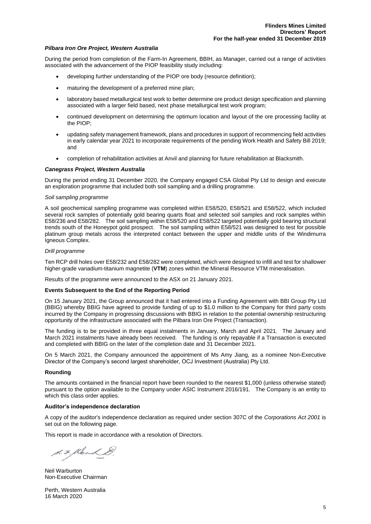#### *Pilbara Iron Ore Project, Western Australia*

During the period from completion of the Farm-In Agreement, BBIH, as Manager, carried out a range of activities associated with the advancement of the PIOP feasibility study including:

- developing further understanding of the PIOP ore body (resource definition);
- maturing the development of a preferred mine plan;
- laboratory based metallurgical test work to better determine ore product design specification and planning associated with a larger field based, next phase metallurgical test work program;
- continued development on determining the optimum location and layout of the ore processing facility at the PIOP;
- updating safety management framework, plans and procedures in support of recommencing field activities in early calendar year 2021 to incorporate requirements of the pending Work Health and Safety Bill 2019; and
- completion of rehabilitation activities at Anvil and planning for future rehabilitation at Blacksmith.

#### *Canegrass Project, Western Australia*

During the period ending 31 December 2020, the Company engaged CSA Global Pty Ltd to design and execute an exploration programme that included both soil sampling and a drilling programme.

#### *Soil sampling programme*

A soil geochemical sampling programme was completed within E58/520, E58/521 and E58/522, which included several rock samples of potentially gold bearing quarts float and selected soil samples and rock samples within E58/236 and E58/282. The soil sampling within E58/520 and E58/522 targeted potentially gold bearing structural trends south of the Honeypot gold prospect. The soil sampling within E58/521 was designed to test for possible platinum group metals across the interpreted contact between the upper and middle units of the Windimurra Igneous Complex.

#### *Drill programme*

Ten RCP drill holes over E58/232 and E58/282 were completed, which were designed to infill and test for shallower higher-grade vanadium-titanium magnetite (**VTM**) zones within the Mineral Resource VTM mineralisation.

Results of the programme were announced to the ASX on 21 January 2021.

#### **Events Subsequent to the End of the Reporting Period**

On 15 January 2021, the Group announced that it had entered into a Funding Agreement with BBI Group Pty Ltd (BBIG) whereby BBIG have agreed to provide funding of up to \$1.0 million to the Company for third party costs incurred by the Company in progressing discussions with BBIG in relation to the potential ownership restructuring opportunity of the infrastructure associated with the Pilbara Iron Ore Project (Transaction).

The funding is to be provided in three equal instalments in January, March and April 2021. The January and March 2021 instalments have already been received. The funding is only repayable if a Transaction is executed and completed with BBIG on the later of the completion date and 31 December 2021.

On 5 March 2021, the Company announced the appointment of Ms Amy Jiang, as a nominee Non-Executive Director of the Company's second largest shareholder, OCJ Investment (Australia) Pty Ltd.

#### **Rounding**

The amounts contained in the financial report have been rounded to the nearest \$1,000 (unless otherwise stated) pursuant to the option available to the Company under ASIC Instrument 2016/191. The Company is an entity to which this class order applies.

#### **Auditor's independence declaration**

A copy of the auditor's independence declaration as required under section 307C of the *Corporations Act 2001* is set out on the following page.

This report is made in accordance with a resolution of Directors.

S. F. Klenk &

Neil Warburton Non-Executive Chairman

Perth, Western Australia 16 March 2020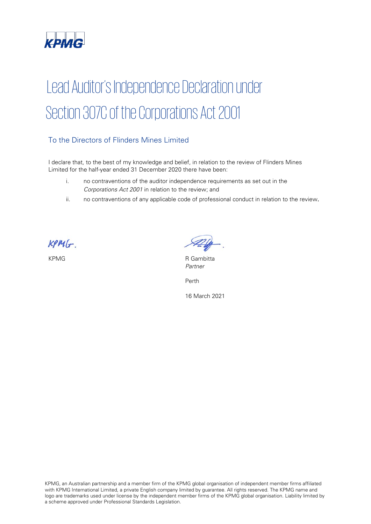

# Lead Auditor's Independence Declaration under Section 307C of the Corporations Act 2001

## To the Directors of Flinders Mines Limited

I declare that, to the best of my knowledge and belief, in relation to the review of Flinders Mines Limited for the half-year ended 31 December 2020 there have been:

- i. no contraventions of the auditor independence requirements as set out in the Corporations Act 2001 in relation to the review; and
- ii. no contraventions of any applicable code of professional conduct in relation to the review.

 $KPM(r)$ 

KPMG R Gambitta Partner

Perth

16 March 2021

KPMG, an Australian partnership and a member firm of the KPMG global organisation of independent member firms affiliated with KPMG International Limited, a private English company limited by guarantee. All rights reserved. The KPMG name and logo are trademarks used under license by the independent member firms of the KPMG global organisation. Liability limited by a scheme approved under Professional Standards Legislation.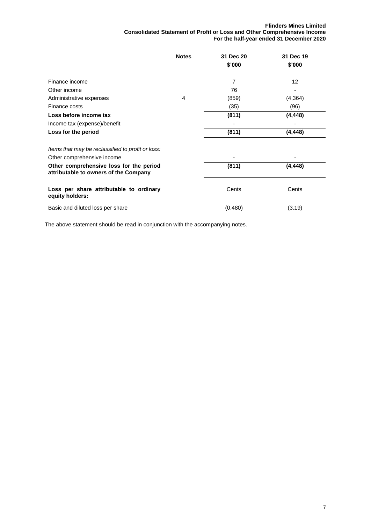#### **Flinders Mines Limited Consolidated Statement of Profit or Loss and Other Comprehensive Income For the half-year ended 31 December 2020**

|                                                                                  | <b>Notes</b> | 31 Dec 20 | 31 Dec 19 |
|----------------------------------------------------------------------------------|--------------|-----------|-----------|
|                                                                                  |              | \$'000    | \$'000    |
| Finance income                                                                   |              | 7         | 12        |
| Other income                                                                     |              | 76        |           |
| Administrative expenses                                                          | 4            | (859)     | (4,364)   |
| Finance costs                                                                    |              | (35)      | (96)      |
| Loss before income tax                                                           |              | (811)     | (4, 448)  |
| Income tax (expense)/benefit                                                     |              |           |           |
| Loss for the period                                                              |              | (811)     | (4, 448)  |
|                                                                                  |              |           |           |
| Items that may be reclassified to profit or loss:                                |              |           |           |
| Other comprehensive income                                                       |              |           |           |
| Other comprehensive loss for the period<br>attributable to owners of the Company |              | (811)     | (4, 448)  |
| Loss per share attributable to ordinary<br>equity holders:                       |              | Cents     | Cents     |
| Basic and diluted loss per share                                                 |              | (0.480)   | (3.19)    |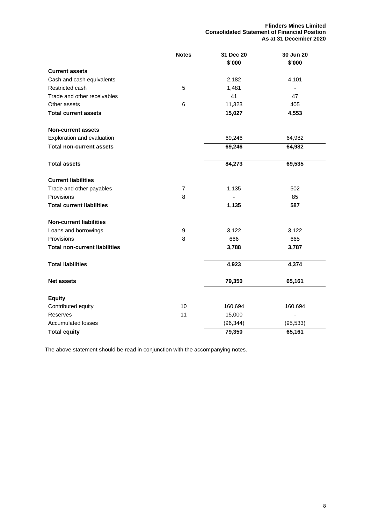**Flinders Mines Limited Consolidated Statement of Financial Position As at 31 December 2020**

|                                      | <b>Notes</b>   | 31 Dec 20 | 30 Jun 20 |
|--------------------------------------|----------------|-----------|-----------|
|                                      |                | \$'000    | \$'000    |
| <b>Current assets</b>                |                |           |           |
| Cash and cash equivalents            |                | 2,182     | 4,101     |
| Restricted cash                      | 5              | 1,481     |           |
| Trade and other receivables          |                | 41        | 47        |
| Other assets                         | $\,6\,$        | 11,323    | 405       |
| <b>Total current assets</b>          |                | 15,027    | 4,553     |
| <b>Non-current assets</b>            |                |           |           |
| Exploration and evaluation           |                | 69,246    | 64,982    |
| <b>Total non-current assets</b>      |                | 69,246    | 64,982    |
| <b>Total assets</b>                  |                | 84,273    | 69,535    |
| <b>Current liabilities</b>           |                |           |           |
| Trade and other payables             | $\overline{7}$ | 1,135     | 502       |
| Provisions                           | 8              |           | 85        |
| <b>Total current liabilities</b>     |                | 1,135     | 587       |
| <b>Non-current liabilities</b>       |                |           |           |
| Loans and borrowings                 | 9              | 3,122     | 3,122     |
| Provisions                           | 8              | 666       | 665       |
| <b>Total non-current liabilities</b> |                | 3,788     | 3,787     |
| <b>Total liabilities</b>             |                | 4,923     | 4,374     |
| <b>Net assets</b>                    |                | 79,350    | 65,161    |
| <b>Equity</b>                        |                |           |           |
| Contributed equity                   | 10             | 160,694   | 160,694   |
| Reserves                             | 11             | 15,000    |           |
| <b>Accumulated losses</b>            |                | (96, 344) | (95, 533) |
| <b>Total equity</b>                  |                | 79,350    | 65,161    |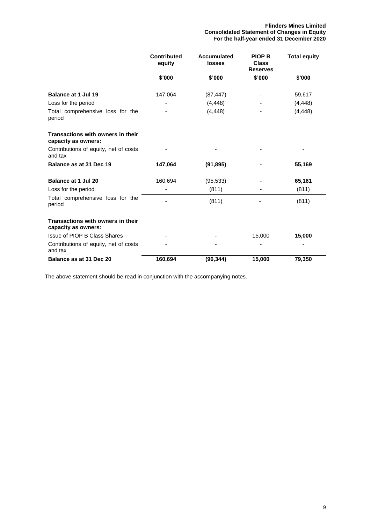|                                                          | <b>Contributed</b><br>equity | Accumulated<br><b>losses</b> | <b>PIOP B</b><br><b>Class</b><br><b>Reserves</b> | <b>Total equity</b> |
|----------------------------------------------------------|------------------------------|------------------------------|--------------------------------------------------|---------------------|
|                                                          | \$'000                       | \$'000                       | \$'000                                           | \$'000              |
| Balance at 1 Jul 19                                      | 147,064                      | (87, 447)                    |                                                  | 59,617              |
| Loss for the period                                      |                              | (4, 448)                     |                                                  | (4, 448)            |
| Total comprehensive loss for the<br>period               |                              | (4, 448)                     | ٠                                                | (4, 448)            |
| Transactions with owners in their<br>capacity as owners: |                              |                              |                                                  |                     |
| Contributions of equity, net of costs<br>and tax         |                              |                              |                                                  |                     |
| Balance as at 31 Dec 19                                  | 147,064                      | (91, 895)                    |                                                  | 55,169              |
| <b>Balance at 1 Jul 20</b>                               | 160,694                      | (95, 533)                    |                                                  | 65,161              |
| Loss for the period                                      |                              | (811)                        |                                                  | (811)               |
| Total comprehensive loss for the<br>period               |                              | (811)                        |                                                  | (811)               |
| Transactions with owners in their<br>capacity as owners: |                              |                              |                                                  |                     |
| Issue of PIOP B Class Shares                             |                              |                              | 15,000                                           | 15,000              |
| Contributions of equity, net of costs<br>and tax         |                              |                              |                                                  |                     |
| Balance as at 31 Dec 20                                  | 160,694                      | (96, 344)                    | 15,000                                           | 79,350              |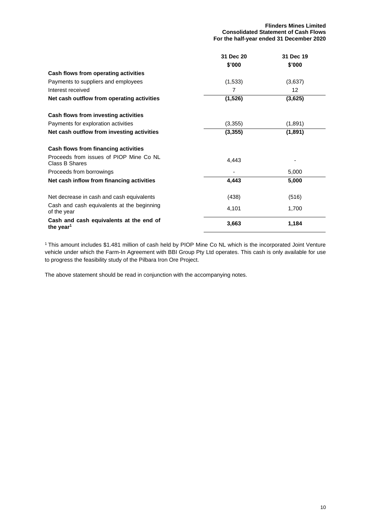|                                                                  | 31 Dec 20 | 31 Dec 19 |
|------------------------------------------------------------------|-----------|-----------|
|                                                                  | \$'000    | \$'000    |
| Cash flows from operating activities                             |           |           |
| Payments to suppliers and employees                              | (1,533)   | (3,637)   |
| Interest received                                                | 7         | 12        |
| Net cash outflow from operating activities                       | (1,526)   | (3,625)   |
| Cash flows from investing activities                             |           |           |
| Payments for exploration activities                              | (3,355)   | (1,891)   |
| Net cash outflow from investing activities                       | (3, 355)  | (1,891)   |
| Cash flows from financing activities                             |           |           |
| Proceeds from issues of PIOP Mine Co NL<br>Class B Shares        | 4,443     |           |
| Proceeds from borrowings                                         |           | 5,000     |
| Net cash inflow from financing activities                        | 4,443     | 5,000     |
| Net decrease in cash and cash equivalents                        | (438)     | (516)     |
| Cash and cash equivalents at the beginning<br>of the year        | 4,101     | 1,700     |
| Cash and cash equivalents at the end of<br>the year <sup>1</sup> | 3,663     | 1,184     |

<sup>1</sup>This amount includes \$1.481 million of cash held by PIOP Mine Co NL which is the incorporated Joint Venture vehicle under which the Farm-In Agreement with BBI Group Pty Ltd operates. This cash is only available for use to progress the feasibility study of the Pilbara Iron Ore Project.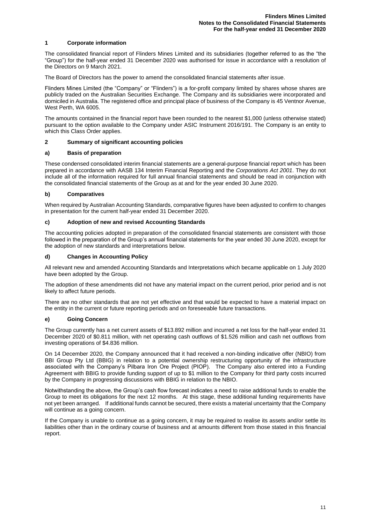#### **1 Corporate information**

The consolidated financial report of Flinders Mines Limited and its subsidiaries (together referred to as the "the "Group") for the half-year ended 31 December 2020 was authorised for issue in accordance with a resolution of the Directors on 9 March 2021.

The Board of Directors has the power to amend the consolidated financial statements after issue.

Flinders Mines Limited (the "Company" or "Flinders") is a for-profit company limited by shares whose shares are publicly traded on the Australian Securities Exchange. The Company and its subsidiaries were incorporated and domiciled in Australia. The registered office and principal place of business of the Company is 45 Ventnor Avenue, West Perth, WA 6005.

The amounts contained in the financial report have been rounded to the nearest \$1,000 (unless otherwise stated) pursuant to the option available to the Company under ASIC Instrument 2016/191. The Company is an entity to which this Class Order applies.

#### **2 Summary of significant accounting policies**

#### **a) Basis of preparation**

These condensed consolidated interim financial statements are a general-purpose financial report which has been prepared in accordance with AASB 134 Interim Financial Reporting and the *Corporations Act 2001*. They do not include all of the information required for full annual financial statements and should be read in conjunction with the consolidated financial statements of the Group as at and for the year ended 30 June 2020.

#### **b) Comparatives**

When required by Australian Accounting Standards, comparative figures have been adjusted to confirm to changes in presentation for the current half-year ended 31 December 2020.

#### **c) Adoption of new and revised Accounting Standards**

The accounting policies adopted in preparation of the consolidated financial statements are consistent with those followed in the preparation of the Group's annual financial statements for the year ended 30 June 2020, except for the adoption of new standards and interpretations below.

#### **d) Changes in Accounting Policy**

All relevant new and amended Accounting Standards and Interpretations which became applicable on 1 July 2020 have been adopted by the Group.

The adoption of these amendments did not have any material impact on the current period, prior period and is not likely to affect future periods.

There are no other standards that are not yet effective and that would be expected to have a material impact on the entity in the current or future reporting periods and on foreseeable future transactions.

#### **e) Going Concern**

The Group currently has a net current assets of \$13.892 million and incurred a net loss for the half-year ended 31 December 2020 of \$0.811 million, with net operating cash outflows of \$1.526 million and cash net outflows from investing operations of \$4.836 million.

On 14 December 2020, the Company announced that it had received a non-binding indicative offer (NBIO) from BBI Group Pty Ltd (BBIG) in relation to a potential ownership restructuring opportunity of the infrastructure associated with the Company's Pilbara Iron Ore Project (PIOP). The Company also entered into a Funding Agreement with BBIG to provide funding support of up to \$1 million to the Company for third party costs incurred by the Company in progressing discussions with BBIG in relation to the NBIO.

Notwithstanding the above, the Group's cash flow forecast indicates a need to raise additional funds to enable the Group to meet its obligations for the next 12 months. At this stage, these additional funding requirements have not yet been arranged. If additional funds cannot be secured, there exists a material uncertainty that the Company will continue as a going concern.

If the Company is unable to continue as a going concern, it may be required to realise its assets and/or settle its liabilities other than in the ordinary course of business and at amounts different from those stated in this financial report.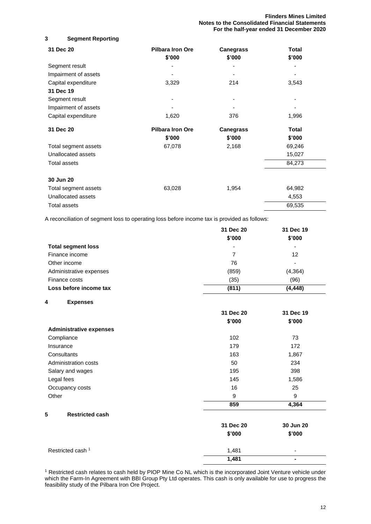**Flinders Mines Limited Notes to the Consolidated Financial Statements For the half-year ended 31 December 2020**

#### **3 Segment Reporting**

| 31 Dec 20            | <b>Pilbara Iron Ore</b><br>\$'000 | <b>Canegrass</b><br>\$'000 | Total<br>\$'000 |
|----------------------|-----------------------------------|----------------------------|-----------------|
| Segment result       |                                   |                            |                 |
| Impairment of assets |                                   |                            |                 |
| Capital expenditure  | 3,329                             | 214                        | 3,543           |
| 31 Dec 19            |                                   |                            |                 |
| Segment result       |                                   |                            |                 |
| Impairment of assets |                                   |                            |                 |
| Capital expenditure  | 1,620                             | 376                        | 1,996           |
| 31 Dec 20            | <b>Pilbara Iron Ore</b>           | <b>Canegrass</b>           | Total           |
|                      | \$'000                            | \$'000                     | \$'000          |
| Total segment assets | 67,078                            | 2,168                      | 69,246          |
| Unallocated assets   |                                   |                            | 15,027          |
| Total assets         |                                   |                            | 84,273          |
| 30 Jun 20            |                                   |                            |                 |
| Total segment assets | 63,028                            | 1,954                      | 64,982          |
| Unallocated assets   |                                   |                            | 4,553           |
| <b>Total assets</b>  |                                   |                            | 69,535          |

A reconciliation of segment loss to operating loss before income tax is provided as follows:

|                           | 31 Dec 20 | 31 Dec 19                |
|---------------------------|-----------|--------------------------|
|                           | \$'000    | \$'000                   |
| <b>Total segment loss</b> | ۰         | ٠                        |
| Finance income            | 7         | 12                       |
| Other income              | 76        | $\overline{\phantom{0}}$ |
| Administrative expenses   | (859)     | (4, 364)                 |
| Finance costs             | (35)      | (96)                     |
| Loss before income tax    | (811)     | (4, 448)                 |

#### **4 Expenses**

|                                | 31 Dec 20 | 31 Dec 19 |
|--------------------------------|-----------|-----------|
|                                | \$'000    | \$'000    |
| <b>Administrative expenses</b> |           |           |
| Compliance                     | 102       | 73        |
| Insurance                      | 179       | 172       |
| Consultants                    | 163       | 1,867     |
| Administration costs           | 50        | 234       |
| Salary and wages               | 195       | 398       |
| Legal fees                     | 145       | 1,586     |
| Occupancy costs                | 16        | 25        |
| Other                          | 9         | 9         |
|                                | 859       | 4,364     |
| 5<br><b>Restricted cash</b>    |           |           |
|                                | 31 Dec 20 | 30 Jun 20 |
|                                | \$'000    | \$'000    |
|                                |           |           |

<sup>1</sup> Restricted cash relates to cash held by PIOP Mine Co NL which is the incorporated Joint Venture vehicle under which the Farm-In Agreement with BBI Group Pty Ltd operates. This cash is only available for use to progress the feasibility study of the Pilbara Iron Ore Project.

Restricted cash 1 1,481 - 1,481 - 1,481 - 1,481 - 1,481 - 1,481 - 1,481 - 1,481 - 1,481 - 1,481 - 1,481 - 1,481 - 1,481 - 1,1481 - 1,1481 - 1,1481 - 1,1481 - 1,1481 - 1,1481 - 1,1481 - 1,1481 - 1,1481 - 1,1481 - 1,1481 - 1

**1,481 -**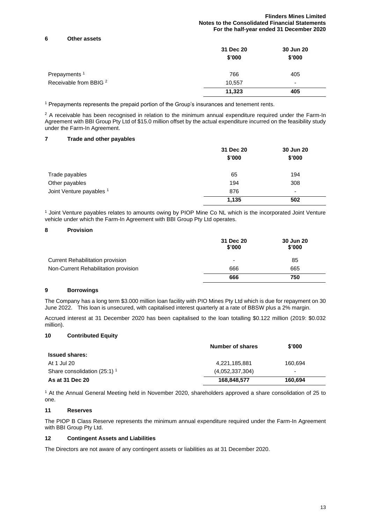#### **Flinders Mines Limited Notes to the Consolidated Financial Statements For the half-year ended 31 December 2020**

#### **6 Other assets**

|                                   | 31 Dec 20<br>\$'000 | 30 Jun 20<br>\$'000 |
|-----------------------------------|---------------------|---------------------|
| Prepayments <sup>1</sup>          | 766                 | 405                 |
| Receivable from BBIG <sup>2</sup> | 10,557              | ٠                   |
|                                   | 11,323              | 405                 |

<sup>1</sup> Prepayments represents the prepaid portion of the Group's insurances and tenement rents.

 $2$  A receivable has been recognised in relation to the minimum annual expenditure required under the Farm-In Agreement with BBI Group Pty Ltd of \$15.0 million offset by the actual expenditure incurred on the feasibility study under the Farm-In Agreement.

#### **7 Trade and other payables**

|                          | 31 Dec 20<br>\$'000 | 30 Jun 20<br>\$'000      |
|--------------------------|---------------------|--------------------------|
| Trade payables           | 65                  | 194                      |
| Other payables           | 194                 | 308                      |
| Joint Venture payables 1 | 876                 | $\overline{\phantom{0}}$ |
|                          | 1,135               | 502                      |

<sup>1</sup> Joint Venture payables relates to amounts owing by PIOP Mine Co NL which is the incorporated Joint Venture vehicle under which the Farm-In Agreement with BBI Group Pty Ltd operates.

#### **8 Provision**

|                                         | 31 Dec 20<br>\$'000 | 30 Jun 20<br>\$'000 |
|-----------------------------------------|---------------------|---------------------|
| <b>Current Rehabilitation provision</b> |                     | 85                  |
| Non-Current Rehabilitation provision    | 666                 | 665                 |
|                                         | 666                 | 750                 |

#### **9 Borrowings**

The Company has a long term \$3.000 million loan facility with PIO Mines Pty Ltd which is due for repayment on 30 June 2022. This loan is unsecured, with capitalised interest quarterly at a rate of BBSW plus a 2% margin.

Accrued interest at 31 December 2020 has been capitalised to the loan totalling \$0.122 million (2019: \$0.032 million).

#### **10 Contributed Equity**

|                                | Number of shares | \$'000                   |
|--------------------------------|------------------|--------------------------|
| <b>Issued shares:</b>          |                  |                          |
| At 1 Jul 20                    | 4,221,185,881    | 160.694                  |
| Share consolidation (25:1) $1$ | (4,052,337,304)  | $\overline{\phantom{0}}$ |
| As at 31 Dec 20                | 168,848,577      | 160.694                  |

<sup>1</sup> At the Annual General Meeting held in November 2020, shareholders approved a share consolidation of 25 to one.

#### **11 Reserves**

The PIOP B Class Reserve represents the minimum annual expenditure required under the Farm-In Agreement with BBI Group Pty Ltd.

#### **12 Contingent Assets and Liabilities**

The Directors are not aware of any contingent assets or liabilities as at 31 December 2020.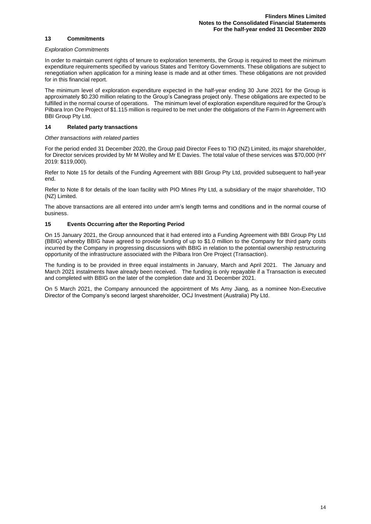#### **13 Commitments**

#### *Exploration Commitments*

In order to maintain current rights of tenure to exploration tenements, the Group is required to meet the minimum expenditure requirements specified by various States and Territory Governments. These obligations are subject to renegotiation when application for a mining lease is made and at other times. These obligations are not provided for in this financial report.

The minimum level of exploration expenditure expected in the half-year ending 30 June 2021 for the Group is approximately \$0.230 million relating to the Group's Canegrass project only. These obligations are expected to be fulfilled in the normal course of operations. The minimum level of exploration expenditure required for the Group's Pilbara Iron Ore Project of \$1.115 million is required to be met under the obligations of the Farm-In Agreement with BBI Group Pty Ltd.

#### **14 Related party transactions**

#### *Other transactions with related parties*

For the period ended 31 December 2020, the Group paid Director Fees to TIO (NZ) Limited, its major shareholder, for Director services provided by Mr M Wolley and Mr E Davies. The total value of these services was \$70,000 (HY 2019: \$119,000).

Refer to Note 15 for details of the Funding Agreement with BBI Group Pty Ltd, provided subsequent to half-year end.

Refer to Note 8 for details of the loan facility with PIO Mines Pty Ltd, a subsidiary of the major shareholder, TIO (NZ) Limited.

The above transactions are all entered into under arm's length terms and conditions and in the normal course of business.

#### **15 Events Occurring after the Reporting Period**

On 15 January 2021, the Group announced that it had entered into a Funding Agreement with BBI Group Pty Ltd (BBIG) whereby BBIG have agreed to provide funding of up to \$1.0 million to the Company for third party costs incurred by the Company in progressing discussions with BBIG in relation to the potential ownership restructuring opportunity of the infrastructure associated with the Pilbara Iron Ore Project (Transaction).

The funding is to be provided in three equal instalments in January, March and April 2021. The January and March 2021 instalments have already been received. The funding is only repayable if a Transaction is executed and completed with BBIG on the later of the completion date and 31 December 2021.

On 5 March 2021, the Company announced the appointment of Ms Amy Jiang, as a nominee Non-Executive Director of the Company's second largest shareholder, OCJ Investment (Australia) Pty Ltd.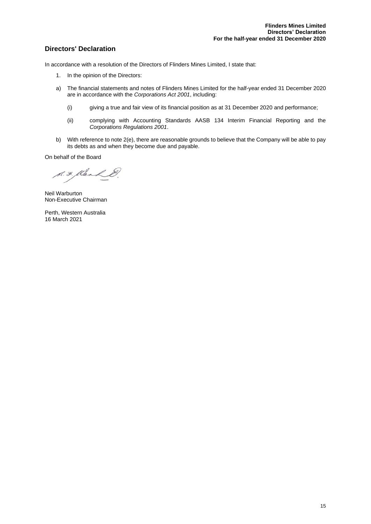### **Directors' Declaration**

In accordance with a resolution of the Directors of Flinders Mines Limited, I state that:

- 1. In the opinion of the Directors:
- a) The financial statements and notes of Flinders Mines Limited for the half-year ended 31 December 2020 are in accordance with the *Corporations Act 2001*, including:
	- (i) giving a true and fair view of its financial position as at 31 December 2020 and performance;
	- (ii) complying with Accounting Standards AASB 134 Interim Financial Reporting and the *Corporations Regulations 2001*.
- b) With reference to note 2(e), there are reasonable grounds to believe that the Company will be able to pay its debts as and when they become due and payable.

On behalf of the Board

S. F. Klerk &

Neil Warburton Non-Executive Chairman

Perth, Western Australia 16 March 2021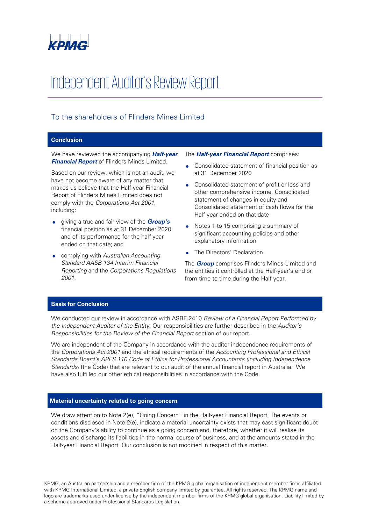

# Independent Auditor's Review Report

## To the shareholders of Flinders Mines Limited

#### **Conclusion**

We have reviewed the accompanying **Half-year Financial Report** of Flinders Mines Limited.

Based on our review, which is not an audit, we have not become aware of any matter that makes us believe that the Half-year Financial Report of Flinders Mines Limited does not comply with the Corporations Act 2001, including:

- giving a true and fair view of the **Group's** financial position as at 31 December 2020 and of its performance for the half-year ended on that date; and
- complying with Australian Accounting Standard AASB 134 Interim Financial Reporting and the Corporations Regulations 2001.

#### The **Half-year Financial Report** comprises:

- Consolidated statement of financial position as at 31 December 2020
- Consolidated statement of profit or loss and other comprehensive income, Consolidated statement of changes in equity and Consolidated statement of cash flows for the Half-year ended on that date
- Notes 1 to 15 comprising a summary of significant accounting policies and other explanatory information
- The Directors' Declaration.

The **Group** comprises Flinders Mines Limited and the entities it controlled at the Half-year's end or from time to time during the Half-year.

#### **Basis for Conclusion**

We conducted our review in accordance with ASRE 2410 Review of a Financial Report Performed by the Independent Auditor of the Entity. Our responsibilities are further described in the Auditor's Responsibilities for the Review of the Financial Report section of our report.

We are independent of the Company in accordance with the auditor independence requirements of the Corporations Act 2001 and the ethical requirements of the Accounting Professional and Ethical Standards Board's APES 110 Code of Ethics for Professional Accountants (including Independence Standards) (the Code) that are relevant to our audit of the annual financial report in Australia. We have also fulfilled our other ethical responsibilities in accordance with the Code.

#### **Material uncertainty related to going concern**

We draw attention to Note 2(e), "Going Concern" in the Half-year Financial Report. The events or conditions disclosed in Note 2(e), indicate a material uncertainty exists that may cast significant doubt on the Company's ability to continue as a going concern and, therefore, whether it will realise its assets and discharge its liabilities in the normal course of business, and at the amounts stated in the Half-year Financial Report. Our conclusion is not modified in respect of this matter.

KPMG, an Australian partnership and a member firm of the KPMG global organisation of independent member firms affiliated with KPMG International Limited, a private English company limited by guarantee. All rights reserved. The KPMG name and logo are trademarks used under license by the independent member firms of the KPMG global organisation. Liability limited by a scheme approved under Professional Standards Legislation.